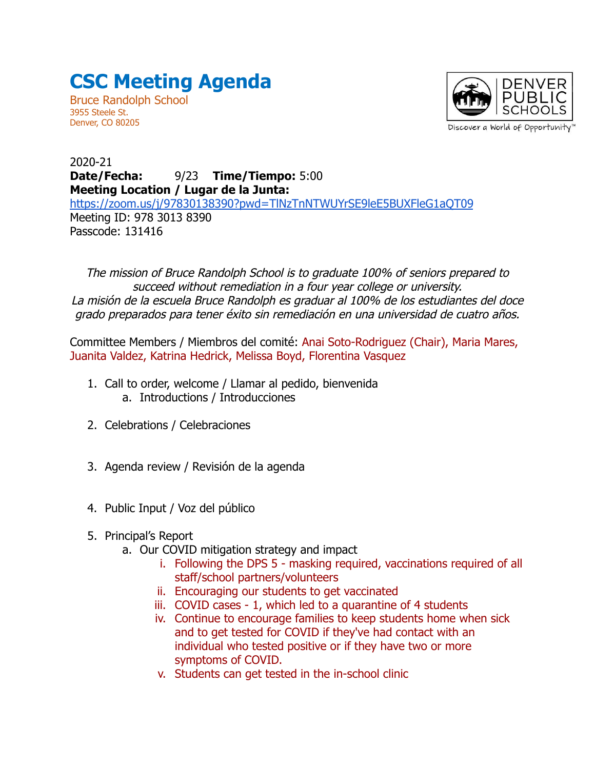## **CSC Meeting Agenda**

Bruce Randolph School 3955 Steele St. Denver, CO 80205



2020-21 **Date/Fecha:** 9/23 **Time/Tiempo:** 5:00 **Meeting Location / Lugar de la Junta:** <https://zoom.us/j/97830138390?pwd=TlNzTnNTWUYrSE9leE5BUXFleG1aQT09> Meeting ID: 978 3013 8390 Passcode: 131416

The mission of Bruce Randolph School is to graduate 100% of seniors prepared to succeed without remediation in a four year college or university. La misión de la escuela Bruce Randolph es graduar al 100% de los estudiantes del doce grado preparados para tener éxito sin remediación en una universidad de cuatro años.

Committee Members / Miembros del comité: Anai Soto-Rodriguez (Chair), Maria Mares, Juanita Valdez, Katrina Hedrick, Melissa Boyd, Florentina Vasquez

- 1. Call to order, welcome / Llamar al pedido, bienvenida a. Introductions / Introducciones
- 2. Celebrations / Celebraciones
- 3. Agenda review / Revisión de la agenda
- 4. Public Input / Voz del público
- 5. Principal's Report
	- a. Our COVID mitigation strategy and impact
		- i. Following the DPS 5 masking required, vaccinations required of all staff/school partners/volunteers
		- ii. Encouraging our students to get vaccinated
		- iii. COVID cases 1, which led to a quarantine of 4 students
		- iv. Continue to encourage families to keep students home when sick and to get tested for COVID if they've had contact with an individual who tested positive or if they have two or more symptoms of COVID.
		- v. Students can get tested in the in-school clinic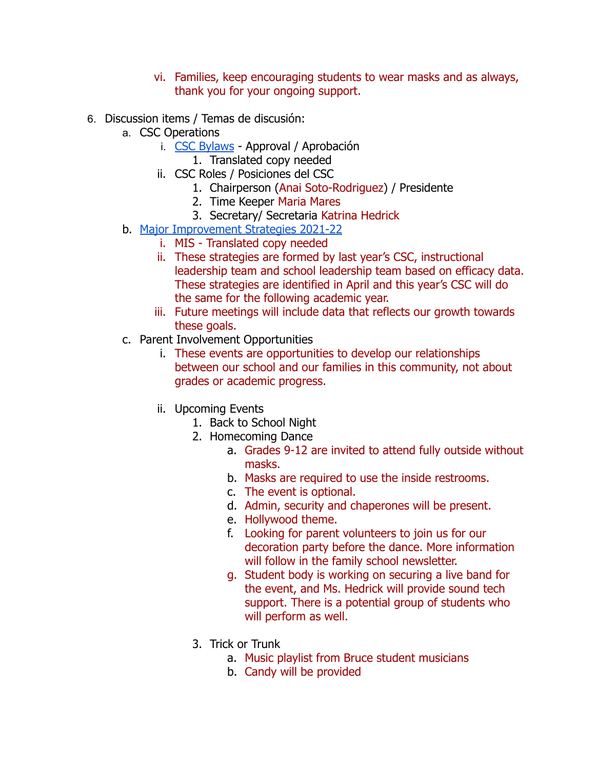- vi. Families, keep encouraging students to wear masks and as always, thank you for your ongoing support.
- 6. Discussion items / Temas de discusión:
	- a. CSC Operations
		- i. [CSC Bylaws](https://docs.google.com/document/d/1CD4PV04esZRmHqEedz9iY8igsJPK1UZP6ywsJ2O4D5E/edit?usp=sharing) Approval / Aprobación
			- 1. Translated copy needed
		- ii. CSC Roles / Posiciones del CSC
			- 1. Chairperson (Anai Soto-Rodriguez) / Presidente
				- 2. Time Keeper Maria Mares
				- 3. Secretary/ Secretaria Katrina Hedrick
	- b. [Major Improvement Strategies 2021-22](https://docs.google.com/document/d/1z6k2zcrzXqPNOCdFGB_acnwrJHuR7sLfhRplt_4I8iU/edit?usp=sharing)
		- i. MIS Translated copy needed
		- ii. These strategies are formed by last year's CSC, instructional leadership team and school leadership team based on efficacy data. These strategies are identified in April and this year's CSC will do the same for the following academic year.
		- iii. Future meetings will include data that reflects our growth towards these goals.
	- c. Parent Involvement Opportunities
		- i. These events are opportunities to develop our relationships between our school and our families in this community, not about grades or academic progress.
		- ii. Upcoming Events
			- 1. Back to School Night
			- 2. Homecoming Dance
				- a. Grades 9-12 are invited to attend fully outside without masks.
				- b. Masks are required to use the inside restrooms.
				- c. The event is optional.
				- d. Admin, security and chaperones will be present.
				- e. Hollywood theme.
				- f. Looking for parent volunteers to join us for our decoration party before the dance. More information will follow in the family school newsletter.
				- g. Student body is working on securing a live band for the event, and Ms. Hedrick will provide sound tech support. There is a potential group of students who will perform as well.
			- 3. Trick or Trunk
				- a. Music playlist from Bruce student musicians
				- b. Candy will be provided